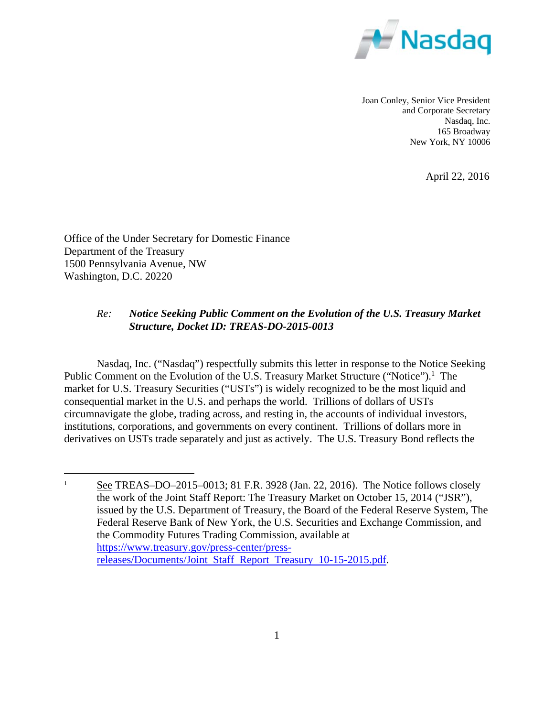

Joan Conley, Senior Vice President and Corporate Secretary Nasdaq, Inc. 165 Broadway New York, NY 10006

April 22, 2016

Office of the Under Secretary for Domestic Finance Department of the Treasury 1500 Pennsylvania Avenue, NW Washington, D.C. 20220

 $\overline{a}$ 

# *Re: Notice Seeking Public Comment on the Evolution of the U.S. Treasury Market Structure, Docket ID: TREAS-DO-2015-0013*

Nasdaq, Inc. ("Nasdaq") respectfully submits this letter in response to the Notice Seeking Public Comment on the Evolution of the U.S. Treasury Market Structure ("Notice").<sup>1</sup> The market for U.S. Treasury Securities ("USTs") is widely recognized to be the most liquid and consequential market in the U.S. and perhaps the world. Trillions of dollars of USTs circumnavigate the globe, trading across, and resting in, the accounts of individual investors, institutions, corporations, and governments on every continent. Trillions of dollars more in derivatives on USTs trade separately and just as actively. The U.S. Treasury Bond reflects the

<sup>1</sup> See TREAS–DO–2015–0013; 81 F.R. 3928 (Jan. 22, 2016). The Notice follows closely the work of the Joint Staff Report: The Treasury Market on October 15, 2014 ("JSR"), issued by the U.S. Department of Treasury, the Board of the Federal Reserve System, The Federal Reserve Bank of New York, the U.S. Securities and Exchange Commission, and the Commodity Futures Trading Commission, available at https://www.treasury.gov/press-center/pressreleases/Documents/Joint Staff Report Treasury 10-15-2015.pdf.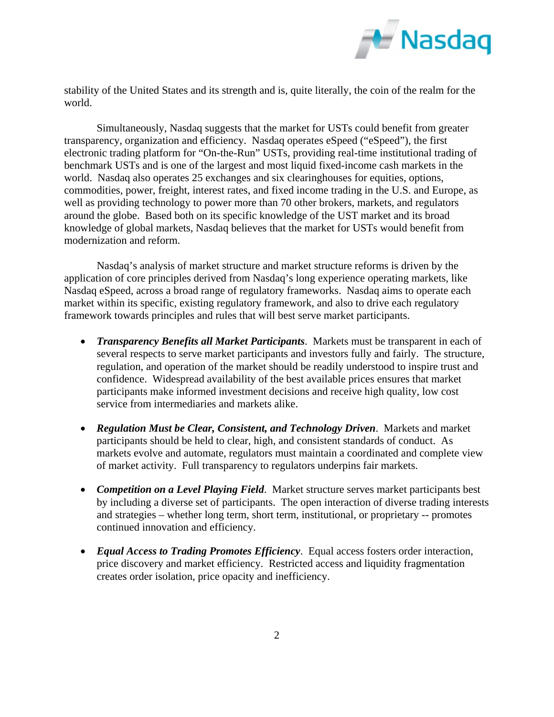

stability of the United States and its strength and is, quite literally, the coin of the realm for the world.

Simultaneously, Nasdaq suggests that the market for USTs could benefit from greater transparency, organization and efficiency. Nasdaq operates eSpeed ("eSpeed"), the first electronic trading platform for "On-the-Run" USTs, providing real-time institutional trading of benchmark USTs and is one of the largest and most liquid fixed-income cash markets in the world. Nasdaq also operates 25 exchanges and six clearinghouses for equities, options, commodities, power, freight, interest rates, and fixed income trading in the U.S. and Europe, as well as providing technology to power more than 70 other brokers, markets, and regulators around the globe. Based both on its specific knowledge of the UST market and its broad knowledge of global markets, Nasdaq believes that the market for USTs would benefit from modernization and reform.

Nasdaq's analysis of market structure and market structure reforms is driven by the application of core principles derived from Nasdaq's long experience operating markets, like Nasdaq eSpeed, across a broad range of regulatory frameworks. Nasdaq aims to operate each market within its specific, existing regulatory framework, and also to drive each regulatory framework towards principles and rules that will best serve market participants.

- *Transparency Benefits all Market Participants*. Markets must be transparent in each of several respects to serve market participants and investors fully and fairly. The structure, regulation, and operation of the market should be readily understood to inspire trust and confidence. Widespread availability of the best available prices ensures that market participants make informed investment decisions and receive high quality, low cost service from intermediaries and markets alike.
- *Regulation Must be Clear, Consistent, and Technology Driven*. Markets and market participants should be held to clear, high, and consistent standards of conduct. As markets evolve and automate, regulators must maintain a coordinated and complete view of market activity. Full transparency to regulators underpins fair markets.
- *Competition on a Level Playing Field*. Market structure serves market participants best by including a diverse set of participants. The open interaction of diverse trading interests and strategies – whether long term, short term, institutional, or proprietary -- promotes continued innovation and efficiency.
- *Equal Access to Trading Promotes Efficiency*. Equal access fosters order interaction, price discovery and market efficiency. Restricted access and liquidity fragmentation creates order isolation, price opacity and inefficiency.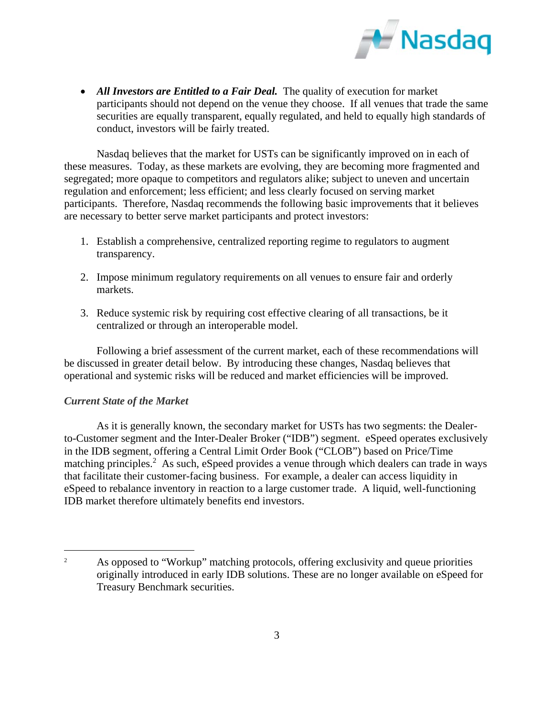

• All Investors are *Entitled to a Fair Deal*. The quality of execution for market participants should not depend on the venue they choose. If all venues that trade the same securities are equally transparent, equally regulated, and held to equally high standards of conduct, investors will be fairly treated.

Nasdaq believes that the market for USTs can be significantly improved on in each of these measures. Today, as these markets are evolving, they are becoming more fragmented and segregated; more opaque to competitors and regulators alike; subject to uneven and uncertain regulation and enforcement; less efficient; and less clearly focused on serving market participants. Therefore, Nasdaq recommends the following basic improvements that it believes are necessary to better serve market participants and protect investors:

- 1. Establish a comprehensive, centralized reporting regime to regulators to augment transparency.
- 2. Impose minimum regulatory requirements on all venues to ensure fair and orderly markets.
- 3. Reduce systemic risk by requiring cost effective clearing of all transactions, be it centralized or through an interoperable model.

Following a brief assessment of the current market, each of these recommendations will be discussed in greater detail below. By introducing these changes, Nasdaq believes that operational and systemic risks will be reduced and market efficiencies will be improved.

# *Current State of the Market*

 $\overline{a}$ 

As it is generally known, the secondary market for USTs has two segments: the Dealerto-Customer segment and the Inter-Dealer Broker ("IDB") segment. eSpeed operates exclusively in the IDB segment, offering a Central Limit Order Book ("CLOB") based on Price/Time matching principles.<sup>2</sup> As such, eSpeed provides a venue through which dealers can trade in ways that facilitate their customer-facing business. For example, a dealer can access liquidity in eSpeed to rebalance inventory in reaction to a large customer trade. A liquid, well-functioning IDB market therefore ultimately benefits end investors.

<sup>2</sup> As opposed to "Workup" matching protocols, offering exclusivity and queue priorities originally introduced in early IDB solutions. These are no longer available on eSpeed for Treasury Benchmark securities.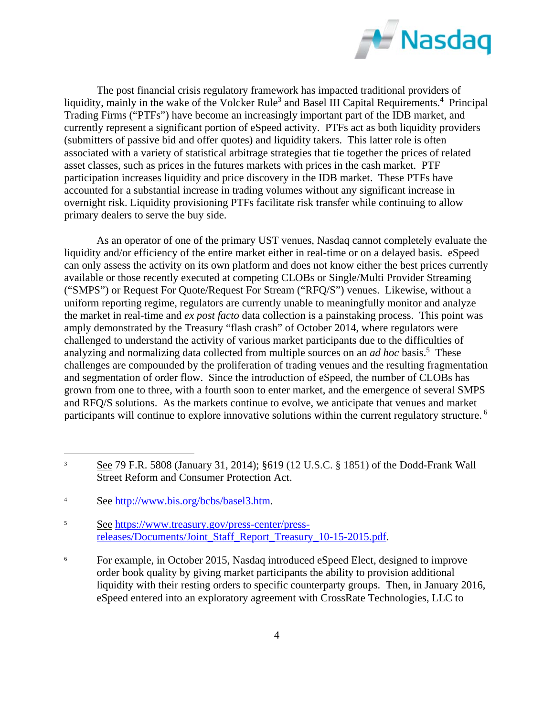

The post financial crisis regulatory framework has impacted traditional providers of liquidity, mainly in the wake of the Volcker Rule<sup>3</sup> and Basel III Capital Requirements.<sup>4</sup> Principal Trading Firms ("PTFs") have become an increasingly important part of the IDB market, and currently represent a significant portion of eSpeed activity. PTFs act as both liquidity providers (submitters of passive bid and offer quotes) and liquidity takers. This latter role is often associated with a variety of statistical arbitrage strategies that tie together the prices of related asset classes, such as prices in the futures markets with prices in the cash market. PTF participation increases liquidity and price discovery in the IDB market. These PTFs have accounted for a substantial increase in trading volumes without any significant increase in overnight risk. Liquidity provisioning PTFs facilitate risk transfer while continuing to allow primary dealers to serve the buy side.

As an operator of one of the primary UST venues, Nasdaq cannot completely evaluate the liquidity and/or efficiency of the entire market either in real-time or on a delayed basis. eSpeed can only assess the activity on its own platform and does not know either the best prices currently available or those recently executed at competing CLOBs or Single/Multi Provider Streaming ("SMPS") or Request For Quote/Request For Stream ("RFQ/S") venues. Likewise, without a uniform reporting regime, regulators are currently unable to meaningfully monitor and analyze the market in real-time and *ex post facto* data collection is a painstaking process. This point was amply demonstrated by the Treasury "flash crash" of October 2014, where regulators were challenged to understand the activity of various market participants due to the difficulties of analyzing and normalizing data collected from multiple sources on an *ad hoc* basis.<sup>5</sup> These challenges are compounded by the proliferation of trading venues and the resulting fragmentation and segmentation of order flow. Since the introduction of eSpeed, the number of CLOBs has grown from one to three, with a fourth soon to enter market, and the emergence of several SMPS and RFQ/S solutions. As the markets continue to evolve, we anticipate that venues and market participants will continue to explore innovative solutions within the current regulatory structure. 6

 $\overline{a}$ 

5 See https://www.treasury.gov/press-center/pressreleases/Documents/Joint\_Staff\_Report\_Treasury\_10-15-2015.pdf.

6 For example, in October 2015, Nasdaq introduced eSpeed Elect, designed to improve order book quality by giving market participants the ability to provision additional liquidity with their resting orders to specific counterparty groups. Then, in January 2016, eSpeed entered into an exploratory agreement with CrossRate Technologies, LLC to

<sup>3</sup> See 79 F.R. 5808 (January 31, 2014); §619 (12 U.S.C. § 1851) of the Dodd-Frank Wall Street Reform and Consumer Protection Act.

<sup>4</sup> See http://www.bis.org/bcbs/basel3.htm.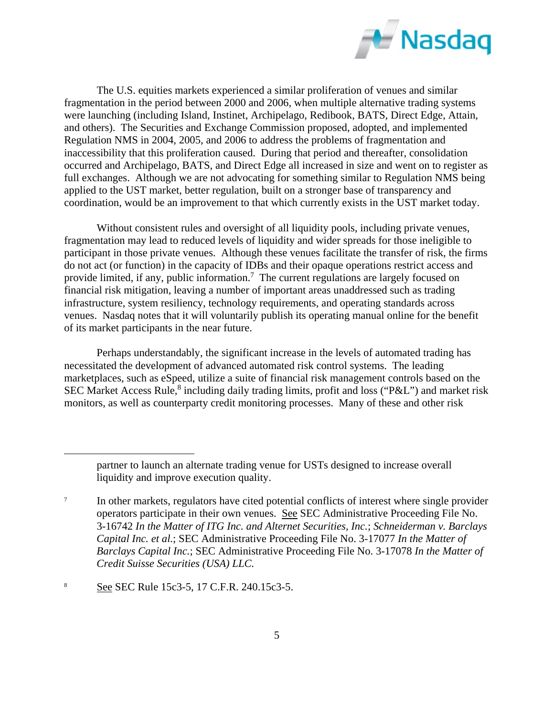

The U.S. equities markets experienced a similar proliferation of venues and similar fragmentation in the period between 2000 and 2006, when multiple alternative trading systems were launching (including Island, Instinet, Archipelago, Redibook, BATS, Direct Edge, Attain, and others). The Securities and Exchange Commission proposed, adopted, and implemented Regulation NMS in 2004, 2005, and 2006 to address the problems of fragmentation and inaccessibility that this proliferation caused. During that period and thereafter, consolidation occurred and Archipelago, BATS, and Direct Edge all increased in size and went on to register as full exchanges. Although we are not advocating for something similar to Regulation NMS being applied to the UST market, better regulation, built on a stronger base of transparency and coordination, would be an improvement to that which currently exists in the UST market today.

Without consistent rules and oversight of all liquidity pools, including private venues, fragmentation may lead to reduced levels of liquidity and wider spreads for those ineligible to participant in those private venues. Although these venues facilitate the transfer of risk, the firms do not act (or function) in the capacity of IDBs and their opaque operations restrict access and provide limited, if any, public information.<sup>7</sup> The current regulations are largely focused on financial risk mitigation, leaving a number of important areas unaddressed such as trading infrastructure, system resiliency, technology requirements, and operating standards across venues. Nasdaq notes that it will voluntarily publish its operating manual online for the benefit of its market participants in the near future.

Perhaps understandably, the significant increase in the levels of automated trading has necessitated the development of advanced automated risk control systems. The leading marketplaces, such as eSpeed, utilize a suite of financial risk management controls based on the SEC Market Access Rule,<sup>8</sup> including daily trading limits, profit and loss ("P&L") and market risk monitors, as well as counterparty credit monitoring processes. Many of these and other risk

 $\overline{a}$ 

partner to launch an alternate trading venue for USTs designed to increase overall liquidity and improve execution quality.

<sup>7</sup> In other markets, regulators have cited potential conflicts of interest where single provider operators participate in their own venues. See SEC Administrative Proceeding File No. 3-16742 *In the Matter of ITG Inc. and Alternet Securities, Inc.*; *Schneiderman v. Barclays Capital Inc. et al.*; SEC Administrative Proceeding File No. 3-17077 *In the Matter of Barclays Capital Inc.*; SEC Administrative Proceeding File No. 3-17078 *In the Matter of Credit Suisse Securities (USA) LLC.*

<sup>8</sup> See SEC Rule 15c3-5, 17 C.F.R. 240.15c3-5.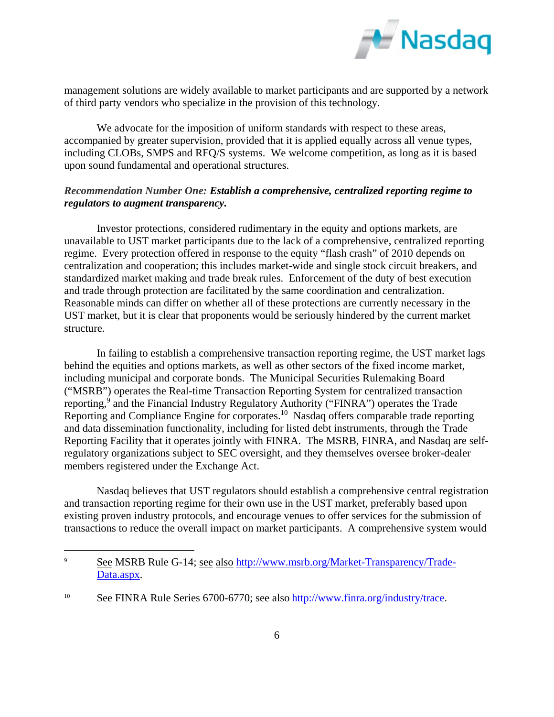

management solutions are widely available to market participants and are supported by a network of third party vendors who specialize in the provision of this technology.

We advocate for the imposition of uniform standards with respect to these areas, accompanied by greater supervision, provided that it is applied equally across all venue types, including CLOBs, SMPS and RFQ/S systems. We welcome competition, as long as it is based upon sound fundamental and operational structures.

## *Recommendation Number One: Establish a comprehensive, centralized reporting regime to regulators to augment transparency.*

Investor protections, considered rudimentary in the equity and options markets, are unavailable to UST market participants due to the lack of a comprehensive, centralized reporting regime. Every protection offered in response to the equity "flash crash" of 2010 depends on centralization and cooperation; this includes market-wide and single stock circuit breakers, and standardized market making and trade break rules. Enforcement of the duty of best execution and trade through protection are facilitated by the same coordination and centralization. Reasonable minds can differ on whether all of these protections are currently necessary in the UST market, but it is clear that proponents would be seriously hindered by the current market structure.

In failing to establish a comprehensive transaction reporting regime, the UST market lags behind the equities and options markets, as well as other sectors of the fixed income market, including municipal and corporate bonds. The Municipal Securities Rulemaking Board ("MSRB") operates the Real-time Transaction Reporting System for centralized transaction reporting,<sup>9</sup> and the Financial Industry Regulatory Authority ("FINRA") operates the Trade Reporting and Compliance Engine for corporates.<sup>10</sup> Nasdaq offers comparable trade reporting and data dissemination functionality, including for listed debt instruments, through the Trade Reporting Facility that it operates jointly with FINRA. The MSRB, FINRA, and Nasdaq are selfregulatory organizations subject to SEC oversight, and they themselves oversee broker-dealer members registered under the Exchange Act.

Nasdaq believes that UST regulators should establish a comprehensive central registration and transaction reporting regime for their own use in the UST market, preferably based upon existing proven industry protocols, and encourage venues to offer services for the submission of transactions to reduce the overall impact on market participants. A comprehensive system would

 $\overline{a}$ 

<sup>9</sup> See MSRB Rule G-14; see also http://www.msrb.org/Market-Transparency/Trade-Data.aspx.

<sup>&</sup>lt;sup>10</sup> See FINRA Rule Series 6700-6770; see also http://www.finra.org/industry/trace.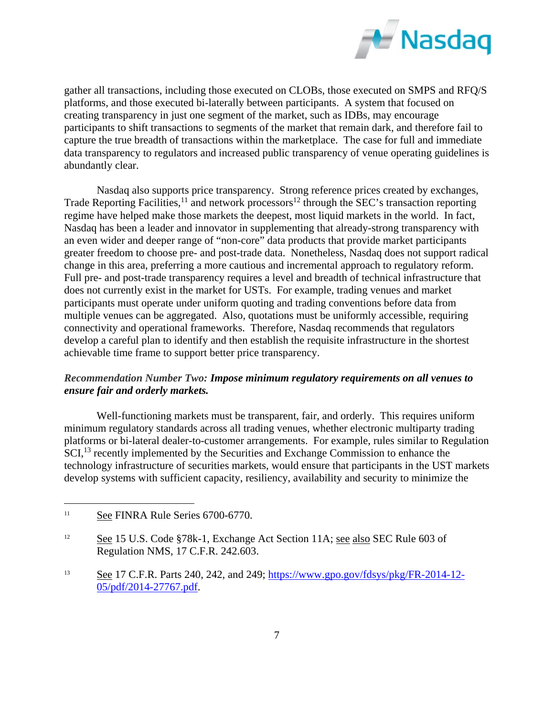

gather all transactions, including those executed on CLOBs, those executed on SMPS and RFQ/S platforms, and those executed bi-laterally between participants. A system that focused on creating transparency in just one segment of the market, such as IDBs, may encourage participants to shift transactions to segments of the market that remain dark, and therefore fail to capture the true breadth of transactions within the marketplace. The case for full and immediate data transparency to regulators and increased public transparency of venue operating guidelines is abundantly clear.

Nasdaq also supports price transparency. Strong reference prices created by exchanges, Trade Reporting Facilities,<sup>11</sup> and network processors<sup>12</sup> through the SEC's transaction reporting regime have helped make those markets the deepest, most liquid markets in the world. In fact, Nasdaq has been a leader and innovator in supplementing that already-strong transparency with an even wider and deeper range of "non-core" data products that provide market participants greater freedom to choose pre- and post-trade data. Nonetheless, Nasdaq does not support radical change in this area, preferring a more cautious and incremental approach to regulatory reform. Full pre- and post-trade transparency requires a level and breadth of technical infrastructure that does not currently exist in the market for USTs. For example, trading venues and market participants must operate under uniform quoting and trading conventions before data from multiple venues can be aggregated. Also, quotations must be uniformly accessible, requiring connectivity and operational frameworks. Therefore, Nasdaq recommends that regulators develop a careful plan to identify and then establish the requisite infrastructure in the shortest achievable time frame to support better price transparency.

### *Recommendation Number Two: Impose minimum regulatory requirements on all venues to ensure fair and orderly markets.*

Well-functioning markets must be transparent, fair, and orderly. This requires uniform minimum regulatory standards across all trading venues, whether electronic multiparty trading platforms or bi-lateral dealer-to-customer arrangements. For example, rules similar to Regulation SCI,<sup>13</sup> recently implemented by the Securities and Exchange Commission to enhance the technology infrastructure of securities markets, would ensure that participants in the UST markets develop systems with sufficient capacity, resiliency, availability and security to minimize the

 $\overline{a}$ 

<sup>&</sup>lt;sup>11</sup> See FINRA Rule Series 6700-6770.

<sup>12</sup> See 15 U.S. Code §78k-1, Exchange Act Section 11A; see also SEC Rule 603 of Regulation NMS, 17 C.F.R. 242.603.

<sup>13</sup> See 17 C.F.R. Parts 240, 242, and 249; https://www.gpo.gov/fdsys/pkg/FR-2014-12- 05/pdf/2014-27767.pdf.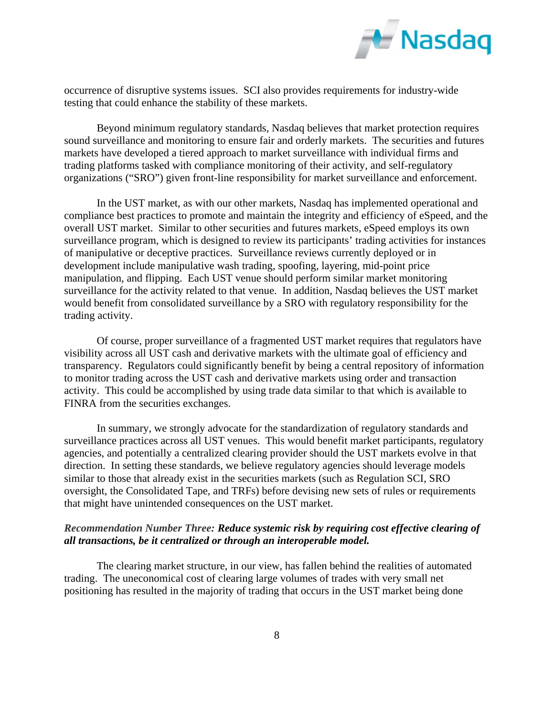

occurrence of disruptive systems issues. SCI also provides requirements for industry-wide testing that could enhance the stability of these markets.

Beyond minimum regulatory standards, Nasdaq believes that market protection requires sound surveillance and monitoring to ensure fair and orderly markets. The securities and futures markets have developed a tiered approach to market surveillance with individual firms and trading platforms tasked with compliance monitoring of their activity, and self-regulatory organizations ("SRO") given front-line responsibility for market surveillance and enforcement.

In the UST market, as with our other markets, Nasdaq has implemented operational and compliance best practices to promote and maintain the integrity and efficiency of eSpeed, and the overall UST market. Similar to other securities and futures markets, eSpeed employs its own surveillance program, which is designed to review its participants' trading activities for instances of manipulative or deceptive practices. Surveillance reviews currently deployed or in development include manipulative wash trading, spoofing, layering, mid-point price manipulation, and flipping. Each UST venue should perform similar market monitoring surveillance for the activity related to that venue. In addition, Nasdaq believes the UST market would benefit from consolidated surveillance by a SRO with regulatory responsibility for the trading activity.

Of course, proper surveillance of a fragmented UST market requires that regulators have visibility across all UST cash and derivative markets with the ultimate goal of efficiency and transparency. Regulators could significantly benefit by being a central repository of information to monitor trading across the UST cash and derivative markets using order and transaction activity. This could be accomplished by using trade data similar to that which is available to FINRA from the securities exchanges.

In summary, we strongly advocate for the standardization of regulatory standards and surveillance practices across all UST venues. This would benefit market participants, regulatory agencies, and potentially a centralized clearing provider should the UST markets evolve in that direction. In setting these standards, we believe regulatory agencies should leverage models similar to those that already exist in the securities markets (such as Regulation SCI, SRO oversight, the Consolidated Tape, and TRFs) before devising new sets of rules or requirements that might have unintended consequences on the UST market.

#### *Recommendation Number Three: Reduce systemic risk by requiring cost effective clearing of all transactions, be it centralized or through an interoperable model.*

The clearing market structure, in our view, has fallen behind the realities of automated trading. The uneconomical cost of clearing large volumes of trades with very small net positioning has resulted in the majority of trading that occurs in the UST market being done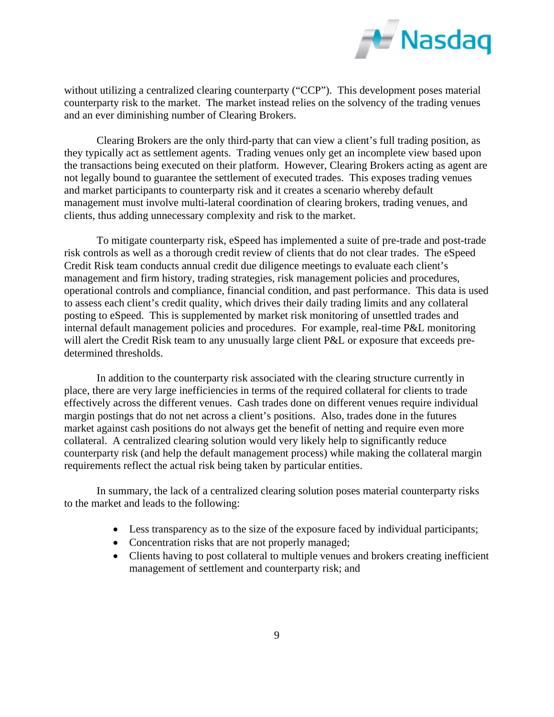

without utilizing a centralized clearing counterparty ("CCP"). This development poses material counterparty risk to the market. The market instead relies on the solvency of the trading venues and an ever diminishing number of Clearing Brokers.

Clearing Brokers are the only third-party that can view a client's full trading position, as they typically act as settlement agents. Trading venues only get an incomplete view based upon the transactions being executed on their platform. However, Clearing Brokers acting as agent are not legally bound to guarantee the settlement of executed trades. This exposes trading venues and market participants to counterparty risk and it creates a scenario whereby default management must involve multi-lateral coordination of clearing brokers, trading venues, and clients, thus adding unnecessary complexity and risk to the market.

To mitigate counterparty risk, eSpeed has implemented a suite of pre-trade and post-trade risk controls as well as a thorough credit review of clients that do not clear trades. The eSpeed Credit Risk team conducts annual credit due diligence meetings to evaluate each client's management and firm history, trading strategies, risk management policies and procedures, operational controls and compliance, financial condition, and past performance. This data is used to assess each client's credit quality, which drives their daily trading limits and any collateral posting to eSpeed. This is supplemented by market risk monitoring of unsettled trades and internal default management policies and procedures. For example, real-time P&L monitoring will alert the Credit Risk team to any unusually large client P&L or exposure that exceeds predetermined thresholds.

In addition to the counterparty risk associated with the clearing structure currently in place, there are very large inefficiencies in terms of the required collateral for clients to trade effectively across the different venues. Cash trades done on different venues require individual margin postings that do not net across a client's positions. Also, trades done in the futures market against cash positions do not always get the benefit of netting and require even more collateral. A centralized clearing solution would very likely help to significantly reduce counterparty risk (and help the default management process) while making the collateral margin requirements reflect the actual risk being taken by particular entities.

In summary, the lack of a centralized clearing solution poses material counterparty risks to the market and leads to the following:

- Less transparency as to the size of the exposure faced by individual participants;
- Concentration risks that are not properly managed;
- Clients having to post collateral to multiple venues and brokers creating inefficient management of settlement and counterparty risk; and